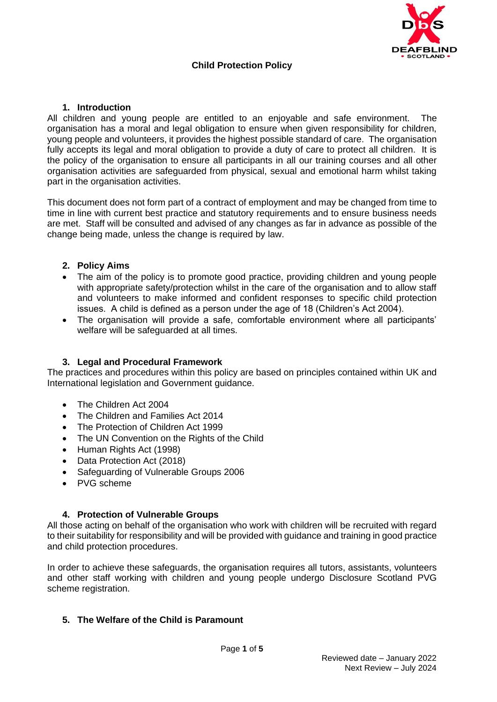

# **Child Protection Policy**

### **1. Introduction**

All children and young people are entitled to an enjoyable and safe environment. The organisation has a moral and legal obligation to ensure when given responsibility for children, young people and volunteers, it provides the highest possible standard of care. The organisation fully accepts its legal and moral obligation to provide a duty of care to protect all children. It is the policy of the organisation to ensure all participants in all our training courses and all other organisation activities are safeguarded from physical, sexual and emotional harm whilst taking part in the organisation activities.

This document does not form part of a contract of employment and may be changed from time to time in line with current best practice and statutory requirements and to ensure business needs are met. Staff will be consulted and advised of any changes as far in advance as possible of the change being made, unless the change is required by law.

### **2. Policy Aims**

- The aim of the policy is to promote good practice, providing children and young people with appropriate safety/protection whilst in the care of the organisation and to allow staff and volunteers to make informed and confident responses to specific child protection issues. A child is defined as a person under the age of 18 (Children's Act 2004).
- The organisation will provide a safe, comfortable environment where all participants' welfare will be safeguarded at all times.

# **3. Legal and Procedural Framework**

The practices and procedures within this policy are based on principles contained within UK and International legislation and Government guidance.

- The Children Act 2004
- The Children and Families Act 2014
- The Protection of Children Act 1999
- The UN Convention on the Rights of the Child
- Human Rights Act (1998)
- Data Protection Act (2018)
- Safeguarding of Vulnerable Groups 2006
- PVG scheme

### **4. Protection of Vulnerable Groups**

All those acting on behalf of the organisation who work with children will be recruited with regard to their suitability for responsibility and will be provided with guidance and training in good practice and child protection procedures.

In order to achieve these safeguards, the organisation requires all tutors, assistants, volunteers and other staff working with children and young people undergo Disclosure Scotland PVG scheme registration.

# **5. The Welfare of the Child is Paramount**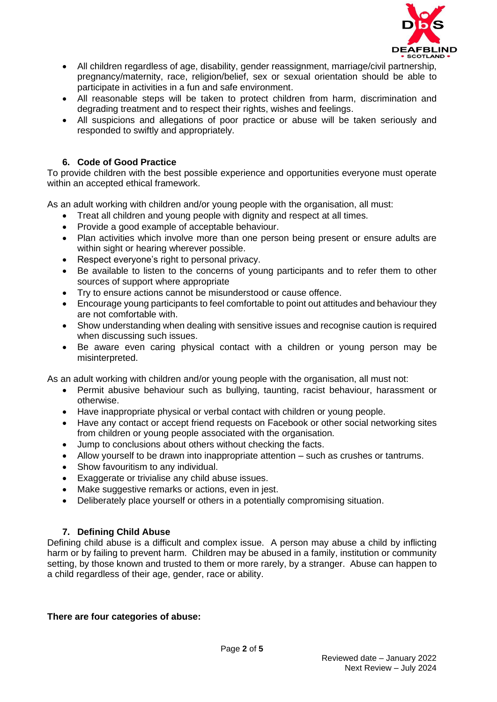

- All children regardless of age, disability, gender reassignment, marriage/civil partnership, pregnancy/maternity, race, religion/belief, sex or sexual orientation should be able to participate in activities in a fun and safe environment.
- All reasonable steps will be taken to protect children from harm, discrimination and degrading treatment and to respect their rights, wishes and feelings.
- All suspicions and allegations of poor practice or abuse will be taken seriously and responded to swiftly and appropriately.

### **6. Code of Good Practice**

To provide children with the best possible experience and opportunities everyone must operate within an accepted ethical framework.

As an adult working with children and/or young people with the organisation, all must:

- Treat all children and young people with dignity and respect at all times.
- Provide a good example of acceptable behaviour.
- Plan activities which involve more than one person being present or ensure adults are within sight or hearing wherever possible.
- Respect everyone's right to personal privacy.
- Be available to listen to the concerns of young participants and to refer them to other sources of support where appropriate
- Try to ensure actions cannot be misunderstood or cause offence.
- Encourage young participants to feel comfortable to point out attitudes and behaviour they are not comfortable with.
- Show understanding when dealing with sensitive issues and recognise caution is required when discussing such issues.
- Be aware even caring physical contact with a children or young person may be misinterpreted.

As an adult working with children and/or young people with the organisation, all must not:

- Permit abusive behaviour such as bullying, taunting, racist behaviour, harassment or otherwise.
- Have inappropriate physical or verbal contact with children or young people.
- Have any contact or accept friend requests on Facebook or other social networking sites from children or young people associated with the organisation.
- Jump to conclusions about others without checking the facts.
- Allow yourself to be drawn into inappropriate attention such as crushes or tantrums.
- Show favouritism to any individual.
- Exaggerate or trivialise any child abuse issues.
- Make suggestive remarks or actions, even in jest.
- Deliberately place yourself or others in a potentially compromising situation.

### **7. Defining Child Abuse**

Defining child abuse is a difficult and complex issue. A person may abuse a child by inflicting harm or by failing to prevent harm. Children may be abused in a family, institution or community setting, by those known and trusted to them or more rarely, by a stranger. Abuse can happen to a child regardless of their age, gender, race or ability.

### **There are four categories of abuse:**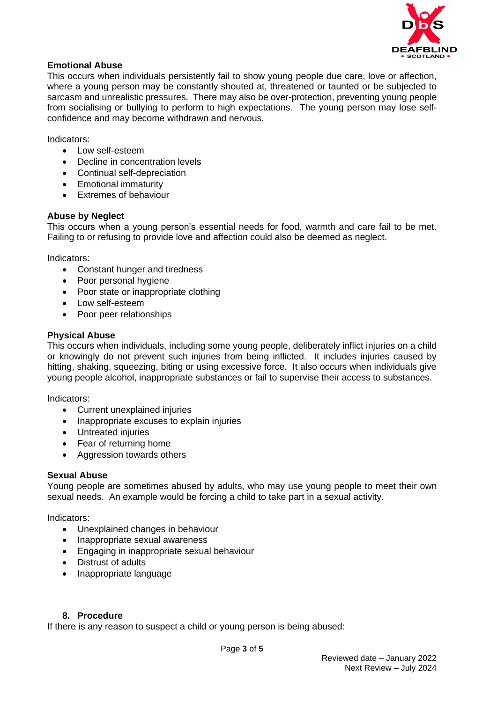

### **Emotional Abuse**

This occurs when individuals persistently fail to show young people due care, love or affection, where a young person may be constantly shouted at, threatened or taunted or be subjected to sarcasm and unrealistic pressures. There may also be over-protection, preventing young people from socialising or bullying to perform to high expectations. The young person may lose selfconfidence and may become withdrawn and nervous.

Indicators:

- Low self-esteem
- Decline in concentration levels
- Continual self-depreciation
- Emotional immaturity
- Extremes of behaviour

### **Abuse by Neglect**

This occurs when a young person's essential needs for food, warmth and care fail to be met. Failing to or refusing to provide love and affection could also be deemed as neglect.

Indicators:

- Constant hunger and tiredness
- Poor personal hygiene
- Poor state or inappropriate clothing
- Low self-esteem
- Poor peer relationships

### **Physical Abuse**

This occurs when individuals, including some young people, deliberately inflict injuries on a child or knowingly do not prevent such injuries from being inflicted. It includes injuries caused by hitting, shaking, squeezing, biting or using excessive force. It also occurs when individuals give young people alcohol, inappropriate substances or fail to supervise their access to substances.

Indicators:

- Current unexplained injuries
- Inappropriate excuses to explain injuries
- Untreated injuries
- Fear of returning home
- Aggression towards others

### **Sexual Abuse**

Young people are sometimes abused by adults, who may use young people to meet their own sexual needs. An example would be forcing a child to take part in a sexual activity.

Indicators:

- Unexplained changes in behaviour
- Inappropriate sexual awareness
- Engaging in inappropriate sexual behaviour
- Distrust of adults
- Inappropriate language

### **8. Procedure**

If there is any reason to suspect a child or young person is being abused: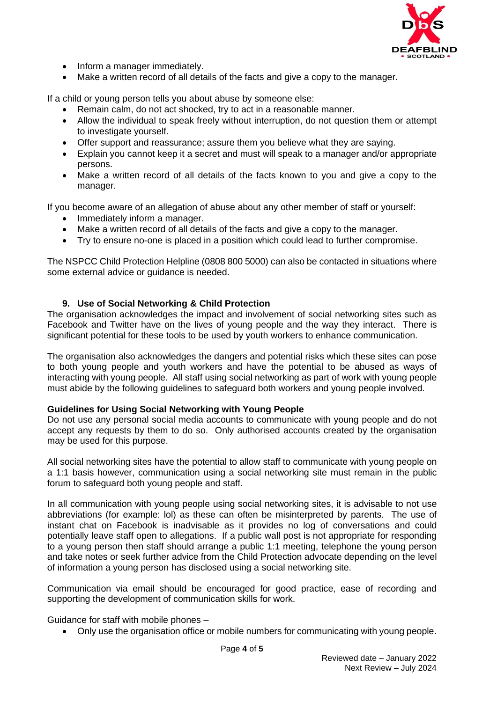

- Inform a manager immediately.
- Make a written record of all details of the facts and give a copy to the manager.

If a child or young person tells you about abuse by someone else:

- Remain calm, do not act shocked, try to act in a reasonable manner.
- Allow the individual to speak freely without interruption, do not question them or attempt to investigate yourself.
- Offer support and reassurance; assure them you believe what they are saying.
- Explain you cannot keep it a secret and must will speak to a manager and/or appropriate persons.
- Make a written record of all details of the facts known to you and give a copy to the manager.

If you become aware of an allegation of abuse about any other member of staff or yourself:

- Immediately inform a manager.
- Make a written record of all details of the facts and give a copy to the manager.
- Try to ensure no-one is placed in a position which could lead to further compromise.

The NSPCC Child Protection Helpline (0808 800 5000) can also be contacted in situations where some external advice or guidance is needed.

### **9. Use of Social Networking & Child Protection**

The organisation acknowledges the impact and involvement of social networking sites such as Facebook and Twitter have on the lives of young people and the way they interact. There is significant potential for these tools to be used by youth workers to enhance communication.

The organisation also acknowledges the dangers and potential risks which these sites can pose to both young people and youth workers and have the potential to be abused as ways of interacting with young people. All staff using social networking as part of work with young people must abide by the following guidelines to safeguard both workers and young people involved.

### **Guidelines for Using Social Networking with Young People**

Do not use any personal social media accounts to communicate with young people and do not accept any requests by them to do so. Only authorised accounts created by the organisation may be used for this purpose.

All social networking sites have the potential to allow staff to communicate with young people on a 1:1 basis however, communication using a social networking site must remain in the public forum to safeguard both young people and staff.

In all communication with young people using social networking sites, it is advisable to not use abbreviations (for example: lol) as these can often be misinterpreted by parents. The use of instant chat on Facebook is inadvisable as it provides no log of conversations and could potentially leave staff open to allegations. If a public wall post is not appropriate for responding to a young person then staff should arrange a public 1:1 meeting, telephone the young person and take notes or seek further advice from the Child Protection advocate depending on the level of information a young person has disclosed using a social networking site.

Communication via email should be encouraged for good practice, ease of recording and supporting the development of communication skills for work.

Guidance for staff with mobile phones –

• Only use the organisation office or mobile numbers for communicating with young people.